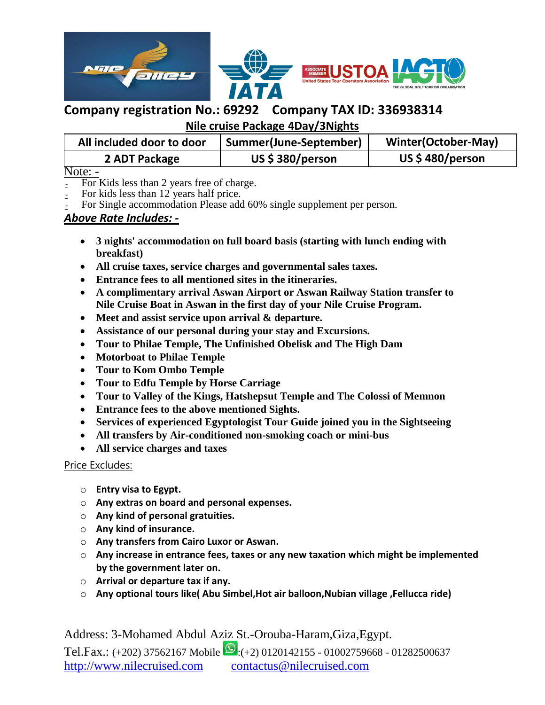

**Nile cruise Package 4Day/3Nights** 

| All included door to door | Summer(June-September) | <b>Winter(October-May)</b> |
|---------------------------|------------------------|----------------------------|
| 2 ADT Package             | US $$380/person$       | US \$480/person            |

Note: -

- For Kids less than 2 years free of charge.
- For kids less than 12 years half price.
- For Single accommodation Please add 60% single supplement per person.

### *Above Rate Includes: -*

- **3 nights' accommodation on full board basis (starting with lunch ending with breakfast)**
- **All cruise taxes, service charges and governmental sales taxes.**
- **Entrance fees to all mentioned sites in the itineraries.**
- **A complimentary arrival Aswan Airport or Aswan Railway Station transfer to Nile Cruise Boat in Aswan in the first day of your Nile Cruise Program.**
- **Meet and assist service upon arrival & departure.**
- **Assistance of our personal during your stay and Excursions.**
- **Tour to Philae Temple, The Unfinished Obelisk and The High Dam**
- **Motorboat to Philae Temple**
- **Tour to Kom Ombo Temple**
- **Tour to Edfu Temple by Horse Carriage**
- **Tour to Valley of the Kings, Hatshepsut Temple and The Colossi of Memnon**
- **Entrance fees to the above mentioned Sights.**
- **Services of experienced Egyptologist Tour Guide joined you in the Sightseeing**
- **All transfers by Air-conditioned non-smoking coach or mini-bus**
- **All service charges and taxes**

### Price Excludes:

- o **Entry visa to Egypt.**
- o **Any extras on board and personal expenses.**
- o **Any kind of personal gratuities.**
- o **Any kind of insurance.**
- o **Any transfers from Cairo Luxor or Aswan.**
- o **Any increase in entrance fees, taxes or any new taxation which might be implemented by the government later on.**
- o **Arrival or departure tax if any.**
- o **Any optional tours like( Abu Simbel,Hot air balloon,Nubian village ,Fellucca ride)**

Address: 3-Mohamed Abdul Aziz St.-Orouba-Haram,Giza,Egypt.

Tel.Fax.: (+202) 37562167 Mobile  $\bigcirc$ :(+2) 0120142155 - 01002759668 - 01282500637 http://www.nilecruised.com contactus@nilecruised.com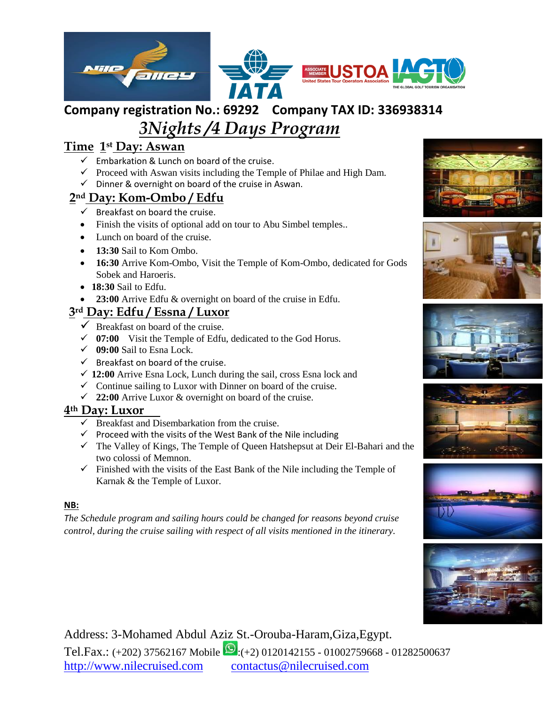

# *3Nights /4 Days Program*

## **Time 1st Day: Aswan**

- $\checkmark$  Embarkation & Lunch on board of the cruise.
- $\checkmark$  Proceed with Aswan visits including the Temple of Philae and High Dam.
- $\checkmark$  Dinner & overnight on board of the cruise in Aswan.

## **2nd Day: Kom-Ombo / Edfu**

- $\checkmark$  Breakfast on board the cruise.
- Finish the visits of optional add on tour to Abu Simbel temples..
- Lunch on board of the cruise.
- **13:30** Sail to Kom Ombo.
- **16:30** Arrive Kom-Ombo, Visit the Temple of Kom-Ombo, dedicated for Gods Sobek and Haroeris.
- **18:30** Sail to Edfu.
- **23:00** Arrive Edfu & overnight on board of the cruise in Edfu.

## **3rd Day: Edfu / Essna / Luxor**

- $\checkmark$  Breakfast on board of the cruise.
- $\checkmark$  07:00 Visit the Temple of Edfu, dedicated to the God Horus.
- **09:00** Sail to Esna Lock.
- $\checkmark$  Breakfast on board of the cruise.
- **12:00** Arrive Esna Lock, Lunch during the sail, cross Esna lock and
- $\checkmark$  Continue sailing to Luxor with Dinner on board of the cruise.
- **22:00** Arrive Luxor & overnight on board of the cruise.

### **4th Day: Luxor**

- $\checkmark$  Breakfast and Disembarkation from the cruise.
- $\checkmark$  Proceed with the visits of the West Bank of the Nile including
- $\checkmark$  The Valley of Kings, The Temple of Queen Hatshepsut at Deir El-Bahari and the two colossi of Memnon.
- $\checkmark$  Finished with the visits of the East Bank of the Nile including the Temple of Karnak & the Temple of Luxor.

### **NB:**

*The Schedule program and sailing hours could be changed for reasons beyond cruise control, during the cruise sailing with respect of all visits mentioned in the itinerary.* 













Address: 3-Mohamed Abdul Aziz St.-Orouba-Haram,Giza,Egypt. Tel.Fax.: (+202) 37562167 Mobile  $\bigotimes$ :(+2) 0120142155 - 01002759668 - 01282500637 http://www.nilecruised.com contactus@nilecruised.com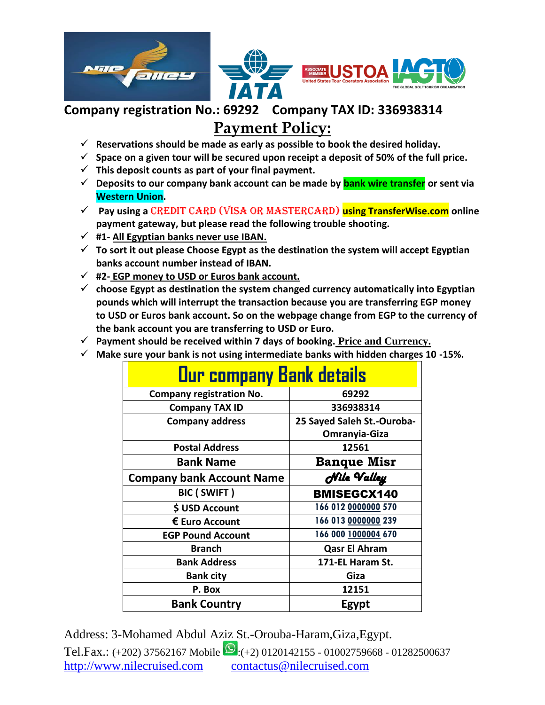

# **Payment Policy:**

- **Reservations should be made as early as possible to book the desired holiday.**
- $\checkmark$  Space on a given tour will be secured upon receipt a deposit of 50% of the full price.
- $\checkmark$  This deposit counts as part of your final payment.
- **Deposits to our company bank account can be made by bank wire transfer or sent via Western Union.**
- **Pay using a** credit card (Visa or MasterCard) **using TransferWise.com online payment gateway, but please read the following trouble shooting.**
- **#1- All Egyptian banks never use IBAN.**
- **To sort it out please Choose Egypt as the destination the system will accept Egyptian banks account number instead of IBAN.**
- **#2- EGP money to USD or Euros bank account.**
- **choose Egypt as destination the system changed currency automatically into Egyptian pounds which will interrupt the transaction because you are transferring EGP money to USD or Euros bank account. So on the webpage change from EGP to the currency of the bank account you are transferring to USD or Euro.**
- **Payment should be received within 7 days of booking. Price and Currency.**
- **Make sure your bank is not using intermediate banks with hidden charges 10 -15%.**

| <b>Our company Bank details</b>  |                            |  |
|----------------------------------|----------------------------|--|
| <b>Company registration No.</b>  | 69292                      |  |
| <b>Company TAX ID</b>            | 336938314                  |  |
| <b>Company address</b>           | 25 Sayed Saleh St.-Ouroba- |  |
|                                  | Omranyia-Giza              |  |
| <b>Postal Address</b>            | 12561                      |  |
| <b>Bank Name</b>                 | <b>Banque Misr</b>         |  |
| <b>Company bank Account Name</b> | Nile Valley                |  |
| <b>BIC (SWIFT)</b>               | <b>BMISEGCX140</b>         |  |
| \$ USD Account                   | 166 012 0000000 570        |  |
| € Euro Account                   | 166 013 0000000 239        |  |
| <b>EGP Pound Account</b>         | 166 000 1000004 670        |  |
| <b>Branch</b>                    | <b>Qasr El Ahram</b>       |  |
| <b>Bank Address</b>              | 171-EL Haram St.           |  |
| <b>Bank city</b>                 | Giza                       |  |
| P. Box                           | 12151                      |  |
| <b>Bank Country</b>              | Egypt                      |  |

Address: 3-Mohamed Abdul Aziz St.-Orouba-Haram,Giza,Egypt. Tel.Fax.: (+202) 37562167 Mobile  $\Omega$ :(+2) 0120142155 - 01002759668 - 01282500637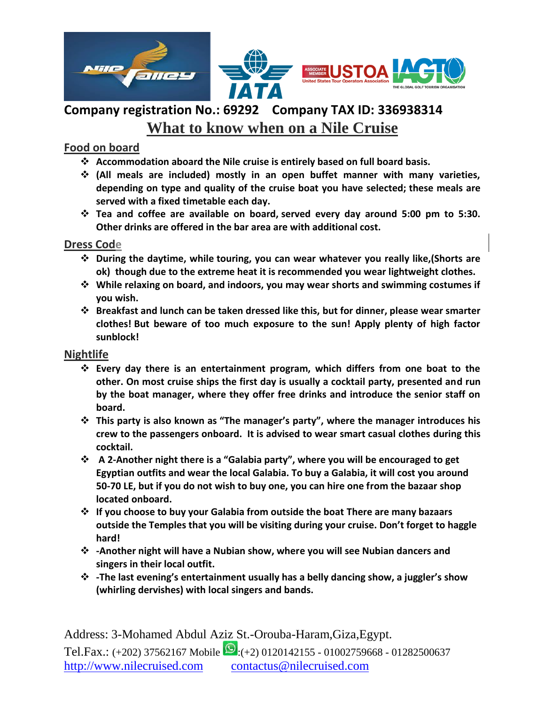

# **Company registration No.: 69292 Company TAX ID: 336938314 What to know when on a Nile Cruise**

### **Food on board**

- **Accommodation aboard the Nile cruise is entirely based on full board basis.**
- **(All meals are included) mostly in an open buffet manner with many varieties, depending on type and quality of the cruise boat you have selected; these meals are served with a fixed timetable each day.**
- **Tea and coffee are available on board, served every day around 5:00 pm to 5:30. Other drinks are offered in the bar area are with additional cost.**

#### **Dress Code**

- **During the daytime, while touring, you can wear whatever you really like,(Shorts are ok) though due to the extreme heat it is recommended you wear lightweight clothes.**
- **While relaxing on board, and indoors, you may wear shorts and swimming costumes if you wish.**
- **Breakfast and lunch can be taken dressed like this, but for dinner, please wear smarter clothes! But beware of too much exposure to the sun! Apply plenty of high factor sunblock!**

### **Nightlife**

- **Every day there is an entertainment program, which differs from one boat to the other. On most cruise ships the first day is usually a cocktail party, presented and run by the boat manager, where they offer free drinks and introduce the senior staff on board.**
- **This party is also known as "The manager's party", where the manager introduces his crew to the passengers onboard. It is advised to wear smart casual clothes during this cocktail.**
- **A 2-Another night there is a "Galabia party", where you will be encouraged to get Egyptian outfits and wear the local Galabia. To buy a Galabia, it will cost you around 50-70 LE, but if you do not wish to buy one, you can hire one from the bazaar shop located onboard.**
- **If you choose to buy your Galabia from outside the boat There are many bazaars outside the Temples that you will be visiting during your cruise. Don't forget to haggle hard!**
- **-Another night will have a Nubian show, where you will see Nubian dancers and singers in their local outfit.**
- **-The last evening's entertainment usually has a belly dancing show, a juggler's show (whirling dervishes) with local singers and bands.**

Address: 3-Mohamed Abdul Aziz St.-Orouba-Haram,Giza,Egypt. Tel.Fax.: (+202) 37562167 Mobile  $\Omega$ :(+2) 0120142155 - 01002759668 - 01282500637 http://www.nilecruised.com contactus@nilecruised.com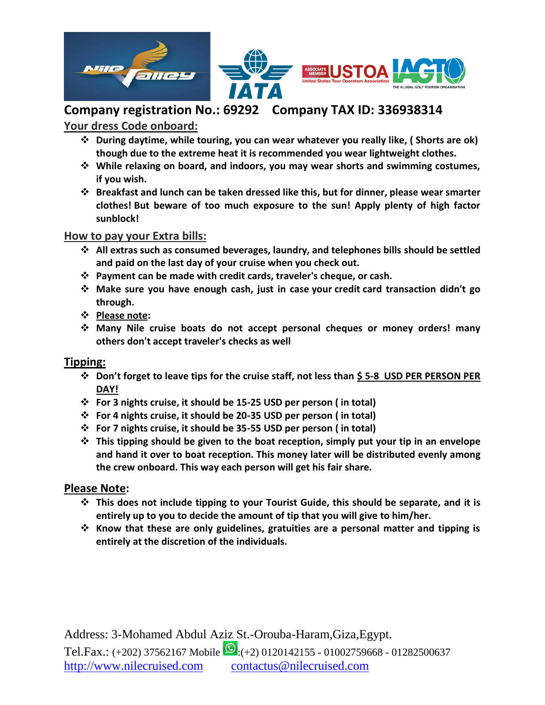

### **Your dress Code onboard:**

- **During daytime, while touring, you can wear whatever you really like, ( Shorts are ok) though due to the extreme heat it is recommended you wear lightweight clothes.**
- **While relaxing on board, and indoors, you may wear shorts and swimming costumes, if you wish.**
- **Breakfast and lunch can be taken dressed like this, but for dinner, please wear smarter clothes! But beware of too much exposure to the sun! Apply plenty of high factor sunblock!**

#### **How to pay your Extra bills:**

- **All extras such as consumed beverages, laundry, and telephones bills should be settled and paid on the last day of your cruise when you check out.**
- **Payment can be made with credit cards, traveler's cheque, or cash.**
- **Make sure you have enough cash, just in case your credit card transaction didn't go through.**
- **Please note:**
- **Many Nile cruise boats do not accept personal cheques or money orders! many others don't accept traveler's checks as well**

### **Tipping:**

- **Don't forget to leave tips for the cruise staff, not less than \$ 5-8 USD PER PERSON PER DAY!**
- **For 3 nights cruise, it should be 15-25 USD per person ( in total)**
- **For 4 nights cruise, it should be 20-35 USD per person ( in total)**
- **For 7 nights cruise, it should be 35-55 USD per person ( in total)**
- **This tipping should be given to the boat reception, simply put your tip in an envelope and hand it over to boat reception. This money later will be distributed evenly among the crew onboard. This way each person will get his fair share.**

### **Please Note:**

- **This does not include tipping to your Tourist Guide, this should be separate, and it is entirely up to you to decide the amount of tip that you will give to him/her.**
- **Know that these are only guidelines, gratuities are a personal matter and tipping is entirely at the discretion of the individuals.**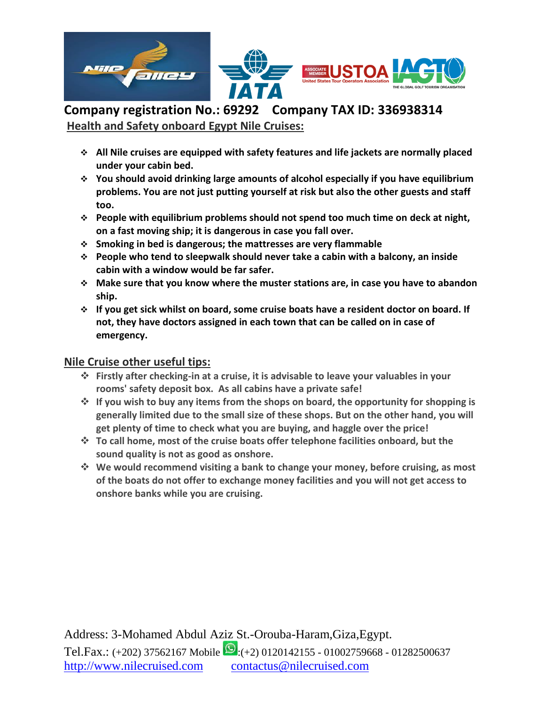

**Company registration No.: 69292 Company TAX ID: 336938314 Health and Safety onboard Egypt Nile Cruises:**

- **All Nile cruises are equipped with safety features and life jackets are normally placed under your cabin bed.**
- **You should avoid drinking large amounts of alcohol especially if you have equilibrium problems. You are not just putting yourself at risk but also the other guests and staff too.**
- **People with equilibrium problems should not spend too much time on deck at night, on a fast moving ship; it is dangerous in case you fall over.**
- **Smoking in bed is dangerous; the mattresses are very flammable**
- **People who tend to sleepwalk should never take a cabin with a balcony, an inside cabin with a window would be far safer.**
- **Make sure that you know where the muster stations are, in case you have to abandon ship.**
- **If you get sick whilst on board, some cruise boats have a resident doctor on board. If not, they have doctors assigned in each town that can be called on in case of emergency.**

### **Nile Cruise other useful tips:**

- **Firstly after checking-in at a cruise, it is advisable to leave your valuables in your rooms' safety deposit box. As all cabins have a private safe!**
- $\dots$  **If you wish to buy any items from the shops on board, the opportunity for shopping is generally limited due to the small size of these shops. But on the other hand, you will get plenty of time to check what you are buying, and haggle over the price!**
- **To call home, most of the cruise boats offer telephone facilities onboard, but the sound quality is not as good as onshore.**
- **We would recommend visiting a bank to change your money, before cruising, as most of the boats do not offer to exchange money facilities and you will not get access to onshore banks while you are cruising.**